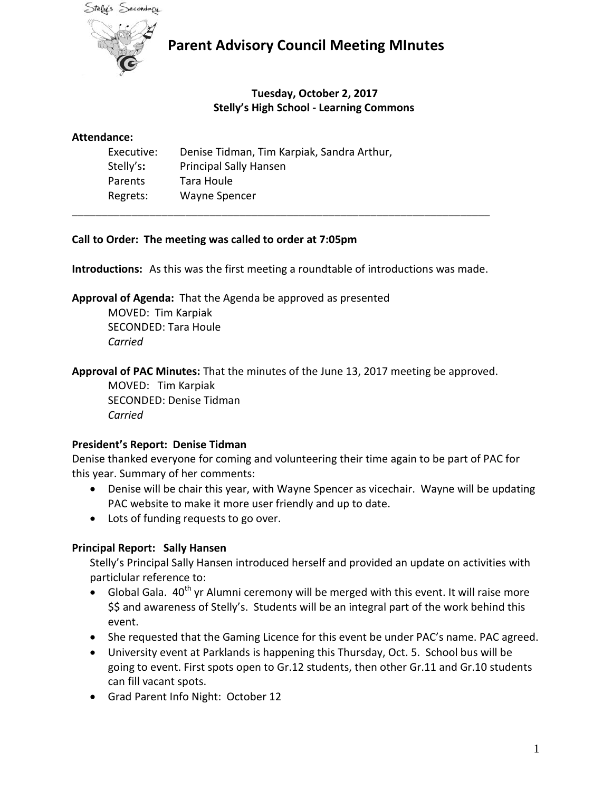

## **Parent Advisory Council Meeting MInutes**

## **Tuesday, October 2, 2017 Stelly's High School - Learning Commons**

#### **Attendance:**

| Executive: | Denise Tidman, Tim Karpiak, Sandra Arthur, |
|------------|--------------------------------------------|
| Stelly's:  | <b>Principal Sally Hansen</b>              |
| Parents    | Tara Houle                                 |
| Regrets:   | <b>Wayne Spencer</b>                       |

### **Call to Order: The meeting was called to order at 7:05pm**

**Introductions:** As this was the first meeting a roundtable of introductions was made.

\_\_\_\_\_\_\_\_\_\_\_\_\_\_\_\_\_\_\_\_\_\_\_\_\_\_\_\_\_\_\_\_\_\_\_\_\_\_\_\_\_\_\_\_\_\_\_\_\_\_\_\_\_\_\_\_\_\_\_\_\_\_\_\_\_\_\_\_\_\_

**Approval of Agenda:** That the Agenda be approved as presented

MOVED: Tim Karpiak SECONDED: Tara Houle *Carried*

**Approval of PAC Minutes:** That the minutes of the June 13, 2017 meeting be approved.

MOVED: Tim Karpiak SECONDED: Denise Tidman *Carried*

## **President's Report: Denise Tidman**

Denise thanked everyone for coming and volunteering their time again to be part of PAC for this year. Summary of her comments:

- Denise will be chair this year, with Wayne Spencer as vicechair. Wayne will be updating PAC website to make it more user friendly and up to date.
- Lots of funding requests to go over.

## **Principal Report: Sally Hansen**

Stelly's Principal Sally Hansen introduced herself and provided an update on activities with particlular reference to:

- $\bullet$  Global Gala.  $40^{th}$  yr Alumni ceremony will be merged with this event. It will raise more \$\$ and awareness of Stelly's. Students will be an integral part of the work behind this event.
- She requested that the Gaming Licence for this event be under PAC's name. PAC agreed.
- University event at Parklands is happening this Thursday, Oct. 5. School bus will be going to event. First spots open to Gr.12 students, then other Gr.11 and Gr.10 students can fill vacant spots.
- Grad Parent Info Night: October 12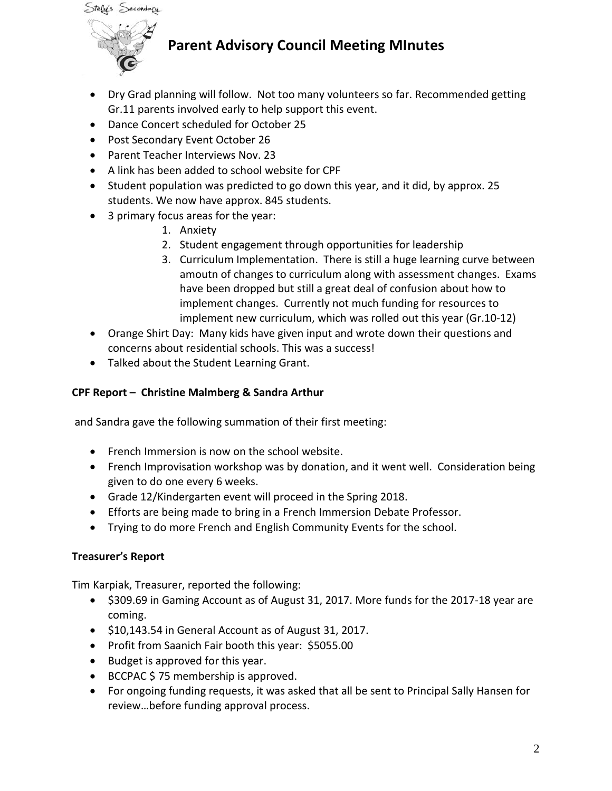

# **Parent Advisory Council Meeting MInutes**

- Dry Grad planning will follow. Not too many volunteers so far. Recommended getting Gr.11 parents involved early to help support this event.
- Dance Concert scheduled for October 25
- Post Secondary Event October 26
- Parent Teacher Interviews Nov. 23
- A link has been added to school website for CPF
- Student population was predicted to go down this year, and it did, by approx. 25 students. We now have approx. 845 students.
- 3 primary focus areas for the year:
	- 1. Anxiety
	- 2. Student engagement through opportunities for leadership
	- 3. Curriculum Implementation. There is still a huge learning curve between amoutn of changes to curriculum along with assessment changes. Exams have been dropped but still a great deal of confusion about how to implement changes. Currently not much funding for resources to implement new curriculum, which was rolled out this year (Gr.10-12)
- Orange Shirt Day: Many kids have given input and wrote down their questions and concerns about residential schools. This was a success!
- Talked about the Student Learning Grant.

## **CPF Report – Christine Malmberg & Sandra Arthur**

and Sandra gave the following summation of their first meeting:

- French Immersion is now on the school website.
- French Improvisation workshop was by donation, and it went well. Consideration being given to do one every 6 weeks.
- Grade 12/Kindergarten event will proceed in the Spring 2018.
- Efforts are being made to bring in a French Immersion Debate Professor.
- Trying to do more French and English Community Events for the school.

#### **Treasurer's Report**

Tim Karpiak, Treasurer, reported the following:

- \$309.69 in Gaming Account as of August 31, 2017. More funds for the 2017-18 year are coming.
- \$10,143.54 in General Account as of August 31, 2017.
- Profit from Saanich Fair booth this year: \$5055.00
- Budget is approved for this year.
- BCCPAC \$ 75 membership is approved.
- For ongoing funding requests, it was asked that all be sent to Principal Sally Hansen for review…before funding approval process.